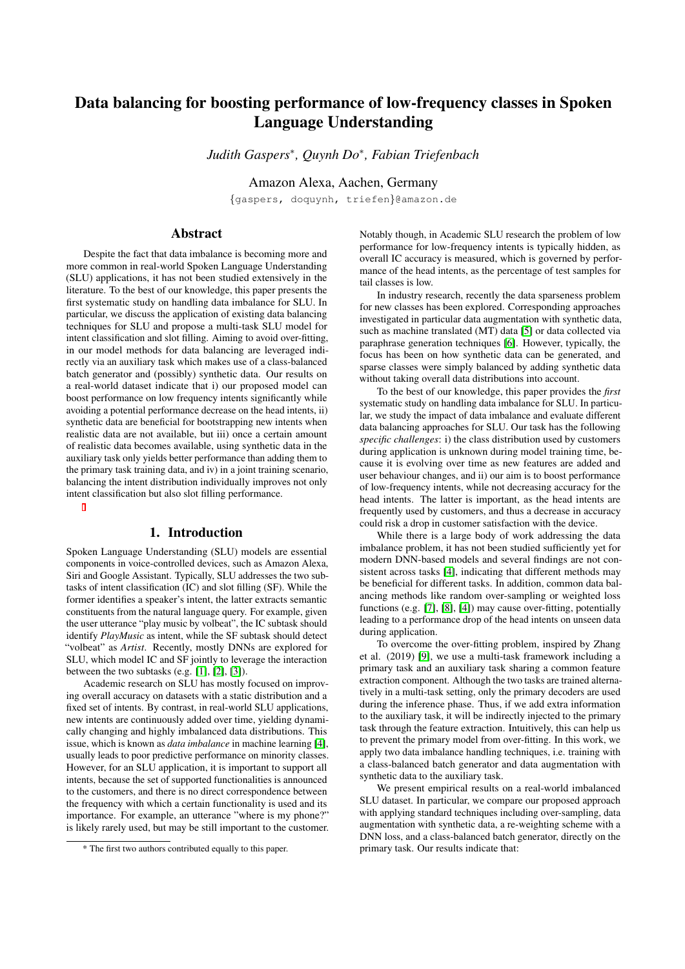# Data balancing for boosting performance of low-frequency classes in Spoken Language Understanding

*Judith Gaspers*<sup>∗</sup> *, Quynh Do*<sup>∗</sup> *, Fabian Triefenbach*

Amazon Alexa, Aachen, Germany

{gaspers, doquynh, triefen}@amazon.de

# Abstract

Despite the fact that data imbalance is becoming more and more common in real-world Spoken Language Understanding (SLU) applications, it has not been studied extensively in the literature. To the best of our knowledge, this paper presents the first systematic study on handling data imbalance for SLU. In particular, we discuss the application of existing data balancing techniques for SLU and propose a multi-task SLU model for intent classification and slot filling. Aiming to avoid over-fitting, in our model methods for data balancing are leveraged indirectly via an auxiliary task which makes use of a class-balanced batch generator and (possibly) synthetic data. Our results on a real-world dataset indicate that i) our proposed model can boost performance on low frequency intents significantly while avoiding a potential performance decrease on the head intents, ii) synthetic data are beneficial for bootstrapping new intents when realistic data are not available, but iii) once a certain amount of realistic data becomes available, using synthetic data in the auxiliary task only yields better performance than adding them to the primary task training data, and iv) in a joint training scenario, balancing the intent distribution individually improves not only intent classification but also slot filling performance.

## 1. Introduction

Spoken Language Understanding (SLU) models are essential components in voice-controlled devices, such as Amazon Alexa, Siri and Google Assistant. Typically, SLU addresses the two subtasks of intent classification (IC) and slot filling (SF). While the former identifies a speaker's intent, the latter extracts semantic constituents from the natural language query. For example, given the user utterance "play music by volbeat", the IC subtask should identify *PlayMusic* as intent, while the SF subtask should detect "volbeat" as *Artist*. Recently, mostly DNNs are explored for SLU, which model IC and SF jointly to leverage the interaction between the two subtasks (e.g. [\[1\]](#page-4-0), [\[2\]](#page-4-1), [\[3\]](#page-4-2)).

Academic research on SLU has mostly focused on improving overall accuracy on datasets with a static distribution and a fixed set of intents. By contrast, in real-world SLU applications, new intents are continuously added over time, yielding dynamically changing and highly imbalanced data distributions. This issue, which is known as *data imbalance* in machine learning [\[4\]](#page-4-3), usually leads to poor predictive performance on minority classes. However, for an SLU application, it is important to support all intents, because the set of supported functionalities is announced to the customers, and there is no direct correspondence between the frequency with which a certain functionality is used and its importance. For example, an utterance "where is my phone?" is likely rarely used, but may be still important to the customer. Notably though, in Academic SLU research the problem of low performance for low-frequency intents is typically hidden, as overall IC accuracy is measured, which is governed by performance of the head intents, as the percentage of test samples for tail classes is low.

In industry research, recently the data sparseness problem for new classes has been explored. Corresponding approaches investigated in particular data augmentation with synthetic data, such as machine translated (MT) data [\[5\]](#page-4-4) or data collected via paraphrase generation techniques [\[6\]](#page-4-5). However, typically, the focus has been on how synthetic data can be generated, and sparse classes were simply balanced by adding synthetic data without taking overall data distributions into account.

To the best of our knowledge, this paper provides the *first* systematic study on handling data imbalance for SLU. In particular, we study the impact of data imbalance and evaluate different data balancing approaches for SLU. Our task has the following *specific challenges*: i) the class distribution used by customers during application is unknown during model training time, because it is evolving over time as new features are added and user behaviour changes, and ii) our aim is to boost performance of low-frequency intents, while not decreasing accuracy for the head intents. The latter is important, as the head intents are frequently used by customers, and thus a decrease in accuracy could risk a drop in customer satisfaction with the device.

While there is a large body of work addressing the data imbalance problem, it has not been studied sufficiently yet for modern DNN-based models and several findings are not consistent across tasks [\[4\]](#page-4-3), indicating that different methods may be beneficial for different tasks. In addition, common data balancing methods like random over-sampling or weighted loss functions (e.g. [\[7\]](#page-4-6), [\[8\]](#page-4-7), [\[4\]](#page-4-3)) may cause over-fitting, potentially leading to a performance drop of the head intents on unseen data during application.

To overcome the over-fitting problem, inspired by Zhang et al. (2019) [\[9\]](#page-4-8), we use a multi-task framework including a primary task and an auxiliary task sharing a common feature extraction component. Although the two tasks are trained alternatively in a multi-task setting, only the primary decoders are used during the inference phase. Thus, if we add extra information to the auxiliary task, it will be indirectly injected to the primary task through the feature extraction. Intuitively, this can help us to prevent the primary model from over-fitting. In this work, we apply two data imbalance handling techniques, i.e. training with a class-balanced batch generator and data augmentation with synthetic data to the auxiliary task.

We present empirical results on a real-world imbalanced SLU dataset. In particular, we compare our proposed approach with applying standard techniques including over-sampling, data augmentation with synthetic data, a re-weighting scheme with a DNN loss, and a class-balanced batch generator, directly on the primary task. Our results indicate that:

<sup>\*</sup> The first two authors contributed equally to this paper.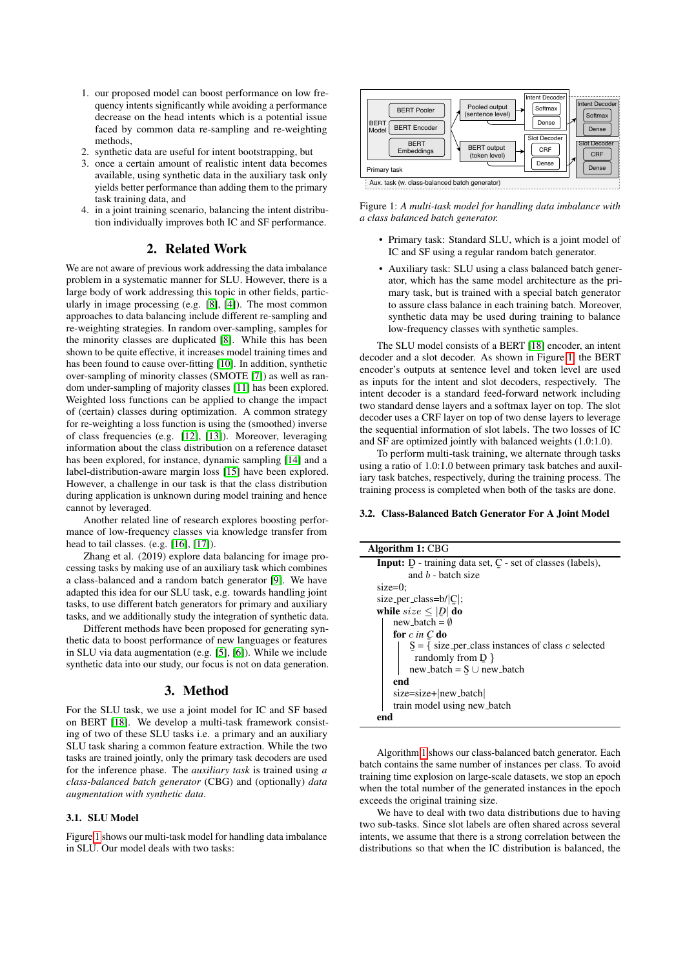- 1. our proposed model can boost performance on low frequency intents significantly while avoiding a performance decrease on the head intents which is a potential issue faced by common data re-sampling and re-weighting methods,
- 2. synthetic data are useful for intent bootstrapping, but
- 3. once a certain amount of realistic intent data becomes available, using synthetic data in the auxiliary task only yields better performance than adding them to the primary task training data, and
- 4. in a joint training scenario, balancing the intent distribution individually improves both IC and SF performance.

# 2. Related Work

We are not aware of previous work addressing the data imbalance problem in a systematic manner for SLU. However, there is a large body of work addressing this topic in other fields, particularly in image processing (e.g. [\[8\]](#page-4-7), [\[4\]](#page-4-3)). The most common approaches to data balancing include different re-sampling and re-weighting strategies. In random over-sampling, samples for the minority classes are duplicated [\[8\]](#page-4-7). While this has been shown to be quite effective, it increases model training times and has been found to cause over-fitting [\[10\]](#page-4-9). In addition, synthetic over-sampling of minority classes (SMOTE [\[7\]](#page-4-6)) as well as random under-sampling of majority classes [\[11\]](#page-4-10) has been explored. Weighted loss functions can be applied to change the impact of (certain) classes during optimization. A common strategy for re-weighting a loss function is using the (smoothed) inverse of class frequencies (e.g. [\[12\]](#page-4-11), [\[13\]](#page-4-12)). Moreover, leveraging information about the class distribution on a reference dataset has been explored, for instance, dynamic sampling [\[14\]](#page-4-13) and a label-distribution-aware margin loss [\[15\]](#page-4-14) have been explored. However, a challenge in our task is that the class distribution during application is unknown during model training and hence cannot by leveraged.

Another related line of research explores boosting performance of low-frequency classes via knowledge transfer from head to tail classes. (e.g. [\[16\]](#page-4-15), [\[17\]](#page-4-16)).

Zhang et al. (2019) explore data balancing for image processing tasks by making use of an auxiliary task which combines a class-balanced and a random batch generator [\[9\]](#page-4-8). We have adapted this idea for our SLU task, e.g. towards handling joint tasks, to use different batch generators for primary and auxiliary tasks, and we additionally study the integration of synthetic data.

Different methods have been proposed for generating synthetic data to boost performance of new languages or features in SLU via data augmentation (e.g. [\[5\]](#page-4-4), [\[6\]](#page-4-5)). While we include synthetic data into our study, our focus is not on data generation.

# 3. Method

For the SLU task, we use a joint model for IC and SF based on BERT [\[18\]](#page-4-17). We develop a multi-task framework consisting of two of these SLU tasks i.e. a primary and an auxiliary SLU task sharing a common feature extraction. While the two tasks are trained jointly, only the primary task decoders are used for the inference phase. The *auxiliary task* is trained using *a class-balanced batch generator* (CBG) and (optionally) *data augmentation with synthetic data*.

#### 3.1. SLU Model

Figure [1](#page-1-0) shows our multi-task model for handling data imbalance in SLU. Our model deals with two tasks:

<span id="page-1-0"></span>

Figure 1: *A multi-task model for handling data imbalance with a class balanced batch generator.*

- Primary task: Standard SLU, which is a joint model of IC and SF using a regular random batch generator.
- Auxiliary task: SLU using a class balanced batch generator, which has the same model architecture as the primary task, but is trained with a special batch generator to assure class balance in each training batch. Moreover, synthetic data may be used during training to balance low-frequency classes with synthetic samples.

The SLU model consists of a BERT [\[18\]](#page-4-17) encoder, an intent decoder and a slot decoder. As shown in Figure [1,](#page-1-0) the BERT encoder's outputs at sentence level and token level are used as inputs for the intent and slot decoders, respectively. The intent decoder is a standard feed-forward network including two standard dense layers and a softmax layer on top. The slot decoder uses a CRF layer on top of two dense layers to leverage the sequential information of slot labels. The two losses of IC and SF are optimized jointly with balanced weights (1.0:1.0).

To perform multi-task training, we alternate through tasks using a ratio of 1.0:1.0 between primary task batches and auxiliary task batches, respectively, during the training process. The training process is completed when both of the tasks are done.

### 3.2. Class-Balanced Batch Generator For A Joint Model

| Algorithm 1: CBG                                                            |
|-----------------------------------------------------------------------------|
| Input: D - training data set, C - set of classes (labels),                  |
| and $b$ - batch size                                                        |
| $size=0$ :                                                                  |
| size_per_class= $b/ C $ ;                                                   |
| while $size \leq  D $ do                                                    |
| $new\_batch = \emptyset$                                                    |
| for $c$ in $C$ do                                                           |
| $S = \{ \text{ size\_per\_class instances of class } c \text{ selected} \}$ |
| randomly from $D \}$                                                        |
| $new\_batch = S \cup new\_batch$                                            |
| end                                                                         |
| size=size+ new_batch                                                        |
| train model using new_batch                                                 |
| end                                                                         |

<span id="page-1-1"></span>Algorithm [1](#page-1-1) shows our class-balanced batch generator. Each batch contains the same number of instances per class. To avoid training time explosion on large-scale datasets, we stop an epoch when the total number of the generated instances in the epoch exceeds the original training size.

We have to deal with two data distributions due to having two sub-tasks. Since slot labels are often shared across several intents, we assume that there is a strong correlation between the distributions so that when the IC distribution is balanced, the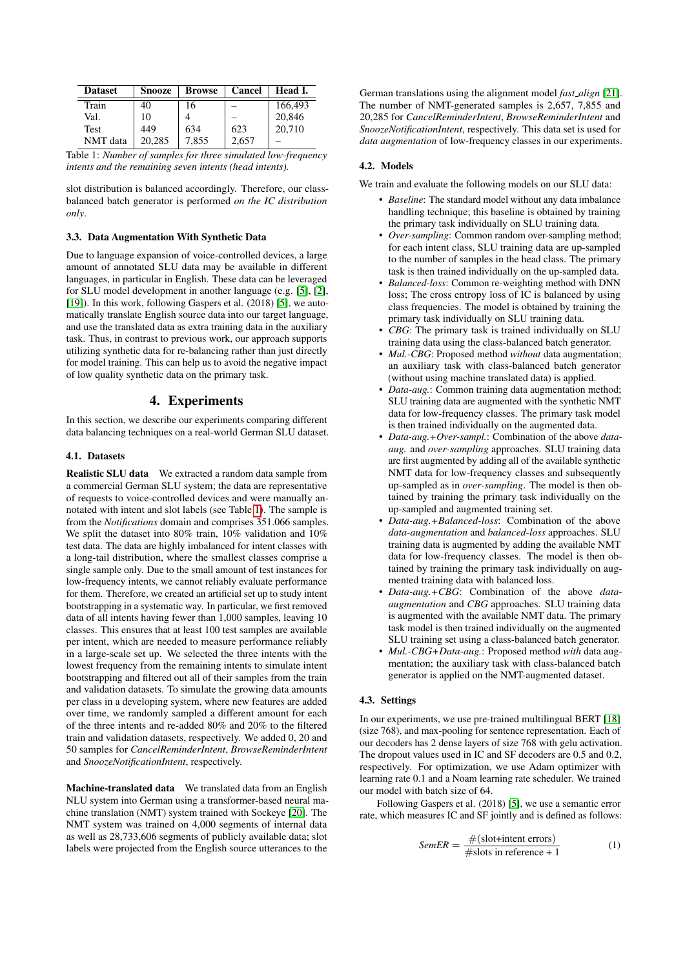<span id="page-2-0"></span>

| <b>Dataset</b> | <b>Snooze</b> | <b>Browse</b> | Cancel | Head I. |
|----------------|---------------|---------------|--------|---------|
| Train          | 40            | 16            |        | 166,493 |
| Val.           | 10            |               |        | 20,846  |
| Test           | 449           | 634           | 623    | 20,710  |
| NMT data       | 20.285        | 7,855         | 2,657  |         |

Table 1: *Number of samples for three simulated low-frequency intents and the remaining seven intents (head intents).*

slot distribution is balanced accordingly. Therefore, our classbalanced batch generator is performed *on the IC distribution only*.

#### 3.3. Data Augmentation With Synthetic Data

Due to language expansion of voice-controlled devices, a large amount of annotated SLU data may be available in different languages, in particular in English. These data can be leveraged for SLU model development in another language (e.g. [\[5\]](#page-4-4), [\[2\]](#page-4-1), [\[19\]](#page-4-18)). In this work, following Gaspers et al. (2018) [\[5\]](#page-4-4), we automatically translate English source data into our target language, and use the translated data as extra training data in the auxiliary task. Thus, in contrast to previous work, our approach supports utilizing synthetic data for re-balancing rather than just directly for model training. This can help us to avoid the negative impact of low quality synthetic data on the primary task.

# 4. Experiments

In this section, we describe our experiments comparing different data balancing techniques on a real-world German SLU dataset.

#### 4.1. Datasets

Realistic SLU data We extracted a random data sample from a commercial German SLU system; the data are representative of requests to voice-controlled devices and were manually annotated with intent and slot labels (see Table [1\)](#page-2-0). The sample is from the *Notifications* domain and comprises 351.066 samples. We split the dataset into 80% train, 10% validation and 10% test data. The data are highly imbalanced for intent classes with a long-tail distribution, where the smallest classes comprise a single sample only. Due to the small amount of test instances for low-frequency intents, we cannot reliably evaluate performance for them. Therefore, we created an artificial set up to study intent bootstrapping in a systematic way. In particular, we first removed data of all intents having fewer than 1,000 samples, leaving 10 classes. This ensures that at least 100 test samples are available per intent, which are needed to measure performance reliably in a large-scale set up. We selected the three intents with the lowest frequency from the remaining intents to simulate intent bootstrapping and filtered out all of their samples from the train and validation datasets. To simulate the growing data amounts per class in a developing system, where new features are added over time, we randomly sampled a different amount for each of the three intents and re-added 80% and 20% to the filtered train and validation datasets, respectively. We added 0, 20 and 50 samples for *CancelReminderIntent*, *BrowseReminderIntent* and *SnoozeNotificationIntent*, respectively.

Machine-translated data We translated data from an English NLU system into German using a transformer-based neural machine translation (NMT) system trained with Sockeye [\[20\]](#page-4-19). The NMT system was trained on 4,000 segments of internal data as well as 28,733,606 segments of publicly available data; slot labels were projected from the English source utterances to the

German translations using the alignment model *fast align* [\[21\]](#page-4-20). The number of NMT-generated samples is 2,657, 7,855 and 20,285 for *CancelReminderIntent*, *BrowseReminderIntent* and *SnoozeNotificationIntent*, respectively. This data set is used for *data augmentation* of low-frequency classes in our experiments.

#### 4.2. Models

We train and evaluate the following models on our SLU data:

- *Baseline*: The standard model without any data imbalance handling technique; this baseline is obtained by training the primary task individually on SLU training data.
- *Over-sampling*: Common random over-sampling method; for each intent class, SLU training data are up-sampled to the number of samples in the head class. The primary task is then trained individually on the up-sampled data.
- *Balanced-loss*: Common re-weighting method with DNN loss; The cross entropy loss of IC is balanced by using class frequencies. The model is obtained by training the primary task individually on SLU training data.
- *CBG*: The primary task is trained individually on SLU training data using the class-balanced batch generator.
- *Mul.-CBG*: Proposed method *without* data augmentation; an auxiliary task with class-balanced batch generator (without using machine translated data) is applied.
- *Data-aug.*: Common training data augmentation method; SLU training data are augmented with the synthetic NMT data for low-frequency classes. The primary task model is then trained individually on the augmented data.
- *Data-aug.+Over-sampl.*: Combination of the above *dataaug.* and *over-sampling* approaches. SLU training data are first augmented by adding all of the available synthetic NMT data for low-frequency classes and subsequently up-sampled as in *over-sampling*. The model is then obtained by training the primary task individually on the up-sampled and augmented training set.
- *Data-aug.+Balanced-loss*: Combination of the above *data-augmentation* and *balanced-loss* approaches. SLU training data is augmented by adding the available NMT data for low-frequency classes. The model is then obtained by training the primary task individually on augmented training data with balanced loss.
- *Data-aug.+CBG*: Combination of the above *dataaugmentation* and *CBG* approaches. SLU training data is augmented with the available NMT data. The primary task model is then trained individually on the augmented SLU training set using a class-balanced batch generator.
- *Mul.-CBG+Data-aug.*: Proposed method *with* data augmentation; the auxiliary task with class-balanced batch generator is applied on the NMT-augmented dataset.

#### 4.3. Settings

In our experiments, we use pre-trained multilingual BERT [\[18\]](#page-4-17) (size 768), and max-pooling for sentence representation. Each of our decoders has 2 dense layers of size 768 with gelu activation. The dropout values used in IC and SF decoders are 0.5 and 0.2, respectively. For optimization, we use Adam optimizer with learning rate 0.1 and a Noam learning rate scheduler. We trained our model with batch size of 64.

Following Gaspers et al. (2018) [\[5\]](#page-4-4), we use a semantic error rate, which measures IC and SF jointly and is defined as follows:

$$
SemER = \frac{\#(\text{slot}+\text{intent errors})}{\# \text{ slots in reference} + 1}
$$
 (1)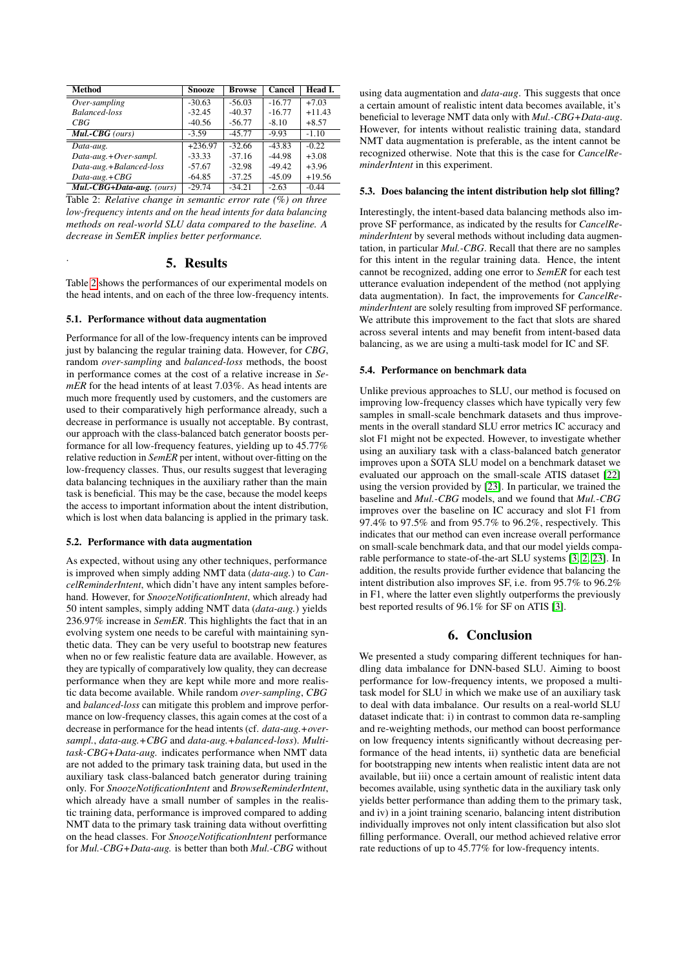<span id="page-3-0"></span>

| <b>Method</b>             | <b>Snooze</b> | <b>Browse</b> | Cancel   | Head I.  |
|---------------------------|---------------|---------------|----------|----------|
| $Over-sampling$           | $-30.63$      | $-56.03$      | $-16.77$ | $+7.03$  |
| <b>Balanced-loss</b>      | $-32.45$      | $-40.37$      | $-16.77$ | $+11.43$ |
| CBG                       | $-40.56$      | $-56.77$      | $-8.10$  | $+8.57$  |
| $Mul-CBG$ (ours)          | $-3.59$       | $-45.77$      | $-9.93$  | $-1.10$  |
| Data-aug.                 | $+236.97$     | $-32.66$      | $-43.83$ | $-0.22$  |
| $Data-aug.+Over-sampl.$   | $-33.33$      | $-37.16$      | $-44.98$ | $+3.08$  |
| Data-aug.+Balanced-loss   | $-57.67$      | $-32.98$      | $-49.42$ | $+3.96$  |
| $Data-aug.+CBG$           | $-64.85$      | $-37.25$      | $-45.09$ | $+19.56$ |
| Mul.-CBG+Data-aug. (ours) | $-29.74$      | $-34.21$      | $-2.63$  | $-0.44$  |

Table 2: *Relative change in semantic error rate (%) on three low-frequency intents and on the head intents for data balancing methods on real-world SLU data compared to the baseline. A decrease in SemER implies better performance.*

# 5. Results

Table [2](#page-3-0) shows the performances of our experimental models on the head intents, and on each of the three low-frequency intents.

## 5.1. Performance without data augmentation

.

Performance for all of the low-frequency intents can be improved just by balancing the regular training data. However, for *CBG*, random *over-sampling* and *balanced-loss* methods, the boost in performance comes at the cost of a relative increase in *SemER* for the head intents of at least 7.03%. As head intents are much more frequently used by customers, and the customers are used to their comparatively high performance already, such a decrease in performance is usually not acceptable. By contrast, our approach with the class-balanced batch generator boosts performance for all low-frequency features, yielding up to 45.77% relative reduction in *SemER* per intent, without over-fitting on the low-frequency classes. Thus, our results suggest that leveraging data balancing techniques in the auxiliary rather than the main task is beneficial. This may be the case, because the model keeps the access to important information about the intent distribution, which is lost when data balancing is applied in the primary task.

#### 5.2. Performance with data augmentation

As expected, without using any other techniques, performance is improved when simply adding NMT data (*data-aug.*) to *CancelReminderIntent*, which didn't have any intent samples beforehand. However, for *SnoozeNotificationIntent*, which already had 50 intent samples, simply adding NMT data (*data-aug.*) yields 236.97% increase in *SemER*. This highlights the fact that in an evolving system one needs to be careful with maintaining synthetic data. They can be very useful to bootstrap new features when no or few realistic feature data are available. However, as they are typically of comparatively low quality, they can decrease performance when they are kept while more and more realistic data become available. While random *over-sampling*, *CBG* and *balanced-loss* can mitigate this problem and improve performance on low-frequency classes, this again comes at the cost of a decrease in performance for the head intents (cf. *data-aug.+oversampl.*, *data-aug.+CBG* and *data-aug.+balanced-loss*). *Multitask-CBG+Data-aug.* indicates performance when NMT data are not added to the primary task training data, but used in the auxiliary task class-balanced batch generator during training only. For *SnoozeNotificationIntent* and *BrowseReminderIntent*, which already have a small number of samples in the realistic training data, performance is improved compared to adding NMT data to the primary task training data without overfitting on the head classes. For *SnoozeNotificationIntent* performance for *Mul.-CBG+Data-aug.* is better than both *Mul.-CBG* without using data augmentation and *data-aug*. This suggests that once a certain amount of realistic intent data becomes available, it's beneficial to leverage NMT data only with *Mul.-CBG+Data-aug*. However, for intents without realistic training data, standard NMT data augmentation is preferable, as the intent cannot be recognized otherwise. Note that this is the case for *CancelReminderIntent* in this experiment.

#### 5.3. Does balancing the intent distribution help slot filling?

Interestingly, the intent-based data balancing methods also improve SF performance, as indicated by the results for *CancelReminderIntent* by several methods without including data augmentation, in particular *Mul.-CBG*. Recall that there are no samples for this intent in the regular training data. Hence, the intent cannot be recognized, adding one error to *SemER* for each test utterance evaluation independent of the method (not applying data augmentation). In fact, the improvements for *CancelReminderIntent* are solely resulting from improved SF performance. We attribute this improvement to the fact that slots are shared across several intents and may benefit from intent-based data balancing, as we are using a multi-task model for IC and SF.

#### 5.4. Performance on benchmark data

Unlike previous approaches to SLU, our method is focused on improving low-frequency classes which have typically very few samples in small-scale benchmark datasets and thus improvements in the overall standard SLU error metrics IC accuracy and slot F1 might not be expected. However, to investigate whether using an auxiliary task with a class-balanced batch generator improves upon a SOTA SLU model on a benchmark dataset we evaluated our approach on the small-scale ATIS dataset [\[22\]](#page-4-21) using the version provided by [\[23\]](#page-4-22). In particular, we trained the baseline and *Mul.-CBG* models, and we found that *Mul.-CBG* improves over the baseline on IC accuracy and slot F1 from 97.4% to 97.5% and from 95.7% to 96.2%, respectively. This indicates that our method can even increase overall performance on small-scale benchmark data, and that our model yields comparable performance to state-of-the-art SLU systems [\[3,](#page-4-2) [2,](#page-4-1) [23\]](#page-4-22). In addition, the results provide further evidence that balancing the intent distribution also improves SF, i.e. from 95.7% to 96.2% in F1, where the latter even slightly outperforms the previously best reported results of 96.1% for SF on ATIS [\[3\]](#page-4-2).

# 6. Conclusion

We presented a study comparing different techniques for handling data imbalance for DNN-based SLU. Aiming to boost performance for low-frequency intents, we proposed a multitask model for SLU in which we make use of an auxiliary task to deal with data imbalance. Our results on a real-world SLU dataset indicate that: i) in contrast to common data re-sampling and re-weighting methods, our method can boost performance on low frequency intents significantly without decreasing performance of the head intents, ii) synthetic data are beneficial for bootstrapping new intents when realistic intent data are not available, but iii) once a certain amount of realistic intent data becomes available, using synthetic data in the auxiliary task only yields better performance than adding them to the primary task, and iv) in a joint training scenario, balancing intent distribution individually improves not only intent classification but also slot filling performance. Overall, our method achieved relative error rate reductions of up to 45.77% for low-frequency intents.